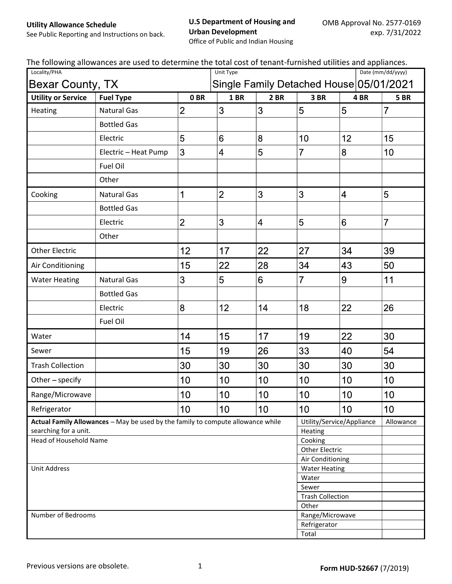Utility Allowance Schedule

## U.S Department of Housing and Urban Development

See Public Reporting and Instructions on back.

Office of Public and Indian Housing

| The following allowances are used to determine the total cost of tenant-furnished utilities and appliances. |  |
|-------------------------------------------------------------------------------------------------------------|--|
|-------------------------------------------------------------------------------------------------------------|--|

| Locality/PHA                                                                    |                      |                 | The Tonowing anowances are ased to actermine the total cost or tenant Tarmshed atintics and appliances.<br>Date (mm/dd/yyyy)<br>Unit Type |                |                                  |                                         |                 |  |
|---------------------------------------------------------------------------------|----------------------|-----------------|-------------------------------------------------------------------------------------------------------------------------------------------|----------------|----------------------------------|-----------------------------------------|-----------------|--|
| Bexar County, TX                                                                |                      |                 |                                                                                                                                           |                |                                  | Single Family Detached House 05/01/2021 |                 |  |
| <b>Utility or Service</b>                                                       | <b>Fuel Type</b>     | 0 <sub>BR</sub> | <b>1 BR</b>                                                                                                                               | 2 BR           | 3BR                              | 4BR                                     | <b>5 BR</b>     |  |
| Heating                                                                         | <b>Natural Gas</b>   | $\overline{2}$  | 3                                                                                                                                         | 3              | 5                                | 5                                       | $\overline{7}$  |  |
|                                                                                 | <b>Bottled Gas</b>   |                 |                                                                                                                                           |                |                                  |                                         |                 |  |
|                                                                                 | Electric             | 5               | 6                                                                                                                                         | 8              | 10                               | 12                                      | 15              |  |
|                                                                                 | Electric - Heat Pump | 3               | 4                                                                                                                                         | 5              | $\overline{7}$                   | 8                                       | 10              |  |
|                                                                                 | Fuel Oil             |                 |                                                                                                                                           |                |                                  |                                         |                 |  |
|                                                                                 | Other                |                 |                                                                                                                                           |                |                                  |                                         |                 |  |
| Cooking                                                                         | <b>Natural Gas</b>   | 1               | $\overline{2}$                                                                                                                            | 3              | 3                                | $\overline{4}$                          | 5               |  |
|                                                                                 | <b>Bottled Gas</b>   |                 |                                                                                                                                           |                |                                  |                                         |                 |  |
|                                                                                 | Electric             | $\overline{2}$  | 3                                                                                                                                         | $\overline{4}$ | 5                                | 6                                       | $\overline{7}$  |  |
|                                                                                 | Other                |                 |                                                                                                                                           |                |                                  |                                         |                 |  |
| <b>Other Electric</b>                                                           |                      | 12              | 17                                                                                                                                        | 22             | 27                               | 34                                      | 39              |  |
| Air Conditioning                                                                |                      | 15              | 22                                                                                                                                        | 28             | 34                               | 43                                      | 50              |  |
| <b>Water Heating</b>                                                            | <b>Natural Gas</b>   | 3               | 5                                                                                                                                         | 6              | $\overline{7}$                   | 9                                       | 11              |  |
|                                                                                 | <b>Bottled Gas</b>   |                 |                                                                                                                                           |                |                                  |                                         |                 |  |
|                                                                                 | Electric             | 8               | 12                                                                                                                                        | 14             | 18                               | 22                                      | 26              |  |
|                                                                                 | Fuel Oil             |                 |                                                                                                                                           |                |                                  |                                         |                 |  |
| Water                                                                           |                      | 14              | 15                                                                                                                                        | 17             | 19                               | 22                                      | 30              |  |
| Sewer                                                                           |                      | 15              | 19                                                                                                                                        | 26             | 33                               | 40                                      | 54              |  |
| <b>Trash Collection</b>                                                         |                      | 30              | 30                                                                                                                                        | 30             | 30                               | 30                                      | 30              |  |
| Other - specify                                                                 |                      | 10              | 10                                                                                                                                        | 10             | 10                               | 10                                      | 10              |  |
| Range/Microwave                                                                 |                      | 10              | 10                                                                                                                                        | 10             | 10                               | 10                                      | 10              |  |
| Refrigerator                                                                    |                      | 10              | 10                                                                                                                                        | 10             | 10                               | 10                                      | 10 <sup>1</sup> |  |
| Actual Family Allowances - May be used by the family to compute allowance while |                      |                 |                                                                                                                                           |                |                                  | Utility/Service/Appliance               | Allowance       |  |
| searching for a unit.                                                           |                      |                 |                                                                                                                                           |                | Heating                          |                                         |                 |  |
| Head of Household Name                                                          |                      |                 |                                                                                                                                           |                | Cooking<br><b>Other Electric</b> |                                         |                 |  |
|                                                                                 |                      |                 |                                                                                                                                           |                | Air Conditioning                 |                                         |                 |  |
| <b>Unit Address</b>                                                             |                      |                 |                                                                                                                                           |                | <b>Water Heating</b>             |                                         |                 |  |
|                                                                                 |                      |                 |                                                                                                                                           |                | Water                            |                                         |                 |  |
|                                                                                 |                      |                 |                                                                                                                                           |                | Sewer                            |                                         |                 |  |
|                                                                                 |                      |                 |                                                                                                                                           |                | <b>Trash Collection</b>          |                                         |                 |  |
|                                                                                 |                      |                 |                                                                                                                                           | Other          |                                  |                                         |                 |  |
| Number of Bedrooms<br>Range/Microwave<br>Refrigerator                           |                      |                 |                                                                                                                                           |                |                                  |                                         |                 |  |
|                                                                                 |                      |                 |                                                                                                                                           |                | Total                            |                                         |                 |  |
|                                                                                 |                      |                 |                                                                                                                                           |                |                                  |                                         |                 |  |